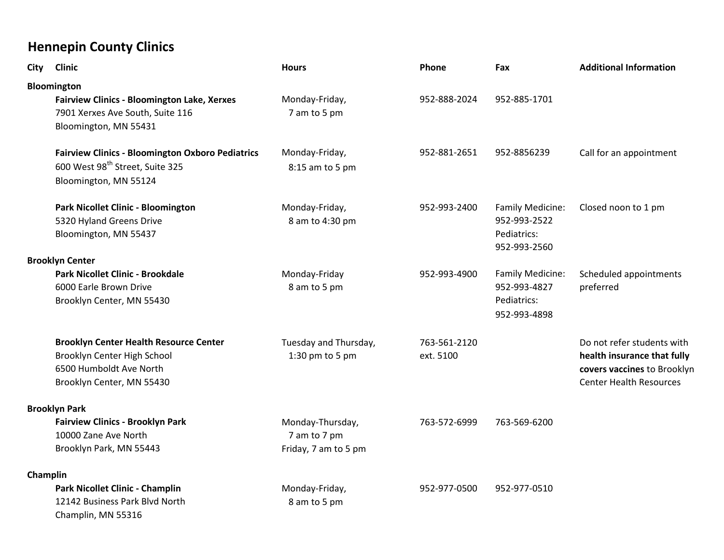| <b>City</b> | <b>Clinic</b>                                           | <b>Hours</b>          | <b>Phone</b> | Fax                         | <b>Additional Information</b>  |
|-------------|---------------------------------------------------------|-----------------------|--------------|-----------------------------|--------------------------------|
|             | Bloomington                                             |                       |              |                             |                                |
|             | <b>Fairview Clinics - Bloomington Lake, Xerxes</b>      | Monday-Friday,        | 952-888-2024 | 952-885-1701                |                                |
|             | 7901 Xerxes Ave South, Suite 116                        | 7 am to 5 pm          |              |                             |                                |
|             | Bloomington, MN 55431                                   |                       |              |                             |                                |
|             | <b>Fairview Clinics - Bloomington Oxboro Pediatrics</b> | Monday-Friday,        | 952-881-2651 | 952-8856239                 | Call for an appointment        |
|             | 600 West 98 <sup>th</sup> Street, Suite 325             | 8:15 am to 5 pm       |              |                             |                                |
|             | Bloomington, MN 55124                                   |                       |              |                             |                                |
|             | Park Nicollet Clinic - Bloomington                      | Monday-Friday,        | 952-993-2400 | Family Medicine:            | Closed noon to 1 pm            |
|             | 5320 Hyland Greens Drive                                | 8 am to 4:30 pm       |              | 952-993-2522                |                                |
|             | Bloomington, MN 55437                                   |                       |              | Pediatrics:<br>952-993-2560 |                                |
|             | <b>Brooklyn Center</b>                                  |                       |              |                             |                                |
|             | Park Nicollet Clinic - Brookdale                        | Monday-Friday         | 952-993-4900 | Family Medicine:            | Scheduled appointments         |
|             | 6000 Earle Brown Drive                                  | 8 am to 5 pm          |              | 952-993-4827                | preferred                      |
|             | Brooklyn Center, MN 55430                               |                       |              | Pediatrics:<br>952-993-4898 |                                |
|             | <b>Brooklyn Center Health Resource Center</b>           | Tuesday and Thursday, | 763-561-2120 |                             | Do not refer students with     |
|             | Brooklyn Center High School                             | 1:30 pm to 5 pm       | ext. 5100    |                             | health insurance that fully    |
|             | 6500 Humboldt Ave North                                 |                       |              |                             | covers vaccines to Brooklyn    |
|             | Brooklyn Center, MN 55430                               |                       |              |                             | <b>Center Health Resources</b> |
|             | <b>Brooklyn Park</b>                                    |                       |              |                             |                                |
|             | <b>Fairview Clinics - Brooklyn Park</b>                 | Monday-Thursday,      | 763-572-6999 | 763-569-6200                |                                |
|             | 10000 Zane Ave North                                    | 7 am to 7 pm          |              |                             |                                |
|             | Brooklyn Park, MN 55443                                 | Friday, 7 am to 5 pm  |              |                             |                                |
| Champlin    |                                                         |                       |              |                             |                                |
|             | Park Nicollet Clinic - Champlin                         | Monday-Friday,        | 952-977-0500 | 952-977-0510                |                                |
|             | 12142 Business Park Blvd North                          | 8 am to 5 pm          |              |                             |                                |
|             | Champlin, MN 55316                                      |                       |              |                             |                                |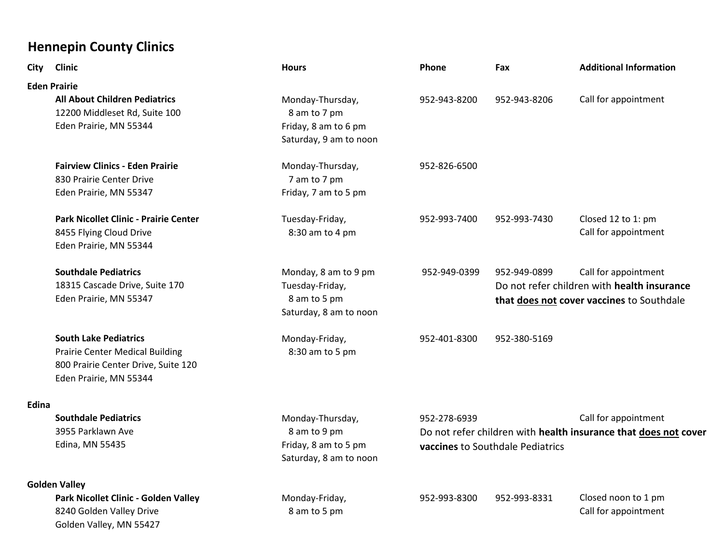| <b>City</b>  | <b>Clinic</b>                          | <b>Hours</b>           | Phone        | Fax                                                                                                 | <b>Additional Information</b>               |
|--------------|----------------------------------------|------------------------|--------------|-----------------------------------------------------------------------------------------------------|---------------------------------------------|
|              | <b>Eden Prairie</b>                    |                        |              |                                                                                                     |                                             |
|              | <b>All About Children Pediatrics</b>   | Monday-Thursday,       | 952-943-8200 | 952-943-8206                                                                                        | Call for appointment                        |
|              | 12200 Middleset Rd, Suite 100          | 8 am to 7 pm           |              |                                                                                                     |                                             |
|              | Eden Prairie, MN 55344                 | Friday, 8 am to 6 pm   |              |                                                                                                     |                                             |
|              |                                        | Saturday, 9 am to noon |              |                                                                                                     |                                             |
|              | <b>Fairview Clinics - Eden Prairie</b> | Monday-Thursday,       | 952-826-6500 |                                                                                                     |                                             |
|              | 830 Prairie Center Drive               | 7 am to 7 pm           |              |                                                                                                     |                                             |
|              | Eden Prairie, MN 55347                 | Friday, 7 am to 5 pm   |              |                                                                                                     |                                             |
|              | Park Nicollet Clinic - Prairie Center  | Tuesday-Friday,        | 952-993-7400 | 952-993-7430                                                                                        | Closed 12 to 1: pm                          |
|              | 8455 Flying Cloud Drive                | 8:30 am to 4 pm        |              |                                                                                                     | Call for appointment                        |
|              | Eden Prairie, MN 55344                 |                        |              |                                                                                                     |                                             |
|              | <b>Southdale Pediatrics</b>            | Monday, 8 am to 9 pm   | 952-949-0399 | 952-949-0899                                                                                        | Call for appointment                        |
|              | 18315 Cascade Drive, Suite 170         | Tuesday-Friday,        |              |                                                                                                     | Do not refer children with health insurance |
|              | Eden Prairie, MN 55347                 | 8 am to 5 pm           |              | that does not cover vaccines to Southdale                                                           |                                             |
|              |                                        | Saturday, 8 am to noon |              |                                                                                                     |                                             |
|              | <b>South Lake Pediatrics</b>           | Monday-Friday,         | 952-401-8300 | 952-380-5169                                                                                        |                                             |
|              | <b>Prairie Center Medical Building</b> | 8:30 am to 5 pm        |              |                                                                                                     |                                             |
|              | 800 Prairie Center Drive, Suite 120    |                        |              |                                                                                                     |                                             |
|              | Eden Prairie, MN 55344                 |                        |              |                                                                                                     |                                             |
| <b>Edina</b> |                                        |                        |              |                                                                                                     |                                             |
|              | <b>Southdale Pediatrics</b>            | Monday-Thursday,       | 952-278-6939 |                                                                                                     | Call for appointment                        |
|              | 3955 Parklawn Ave                      | 8 am to 9 pm           |              | Do not refer children with health insurance that does not cover<br>vaccines to Southdale Pediatrics |                                             |
|              | Edina, MN 55435                        | Friday, 8 am to 5 pm   |              |                                                                                                     |                                             |
|              |                                        | Saturday, 8 am to noon |              |                                                                                                     |                                             |
|              | <b>Golden Valley</b>                   |                        |              |                                                                                                     |                                             |
|              | Park Nicollet Clinic - Golden Valley   | Monday-Friday,         | 952-993-8300 | 952-993-8331                                                                                        | Closed noon to 1 pm                         |
|              | 8240 Golden Valley Drive               | 8 am to 5 pm           |              |                                                                                                     | Call for appointment                        |
|              | Golden Valley, MN 55427                |                        |              |                                                                                                     |                                             |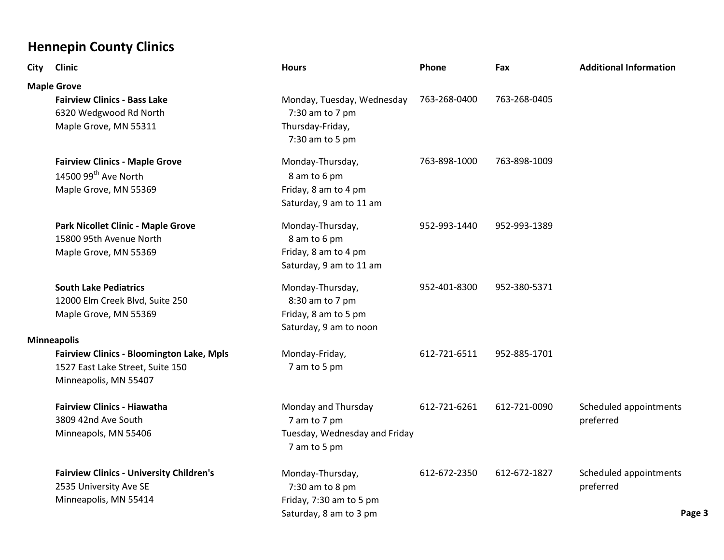| <b>City</b> | <b>Clinic</b>                                                                                                 | <b>Hours</b>                                                                             | <b>Phone</b> | Fax          | <b>Additional Information</b>                 |
|-------------|---------------------------------------------------------------------------------------------------------------|------------------------------------------------------------------------------------------|--------------|--------------|-----------------------------------------------|
|             | <b>Maple Grove</b>                                                                                            |                                                                                          |              |              |                                               |
|             | <b>Fairview Clinics - Bass Lake</b><br>6320 Wedgwood Rd North<br>Maple Grove, MN 55311                        | Monday, Tuesday, Wednesday<br>7:30 am to 7 pm<br>Thursday-Friday,<br>7:30 am to 5 pm     | 763-268-0400 | 763-268-0405 |                                               |
|             | <b>Fairview Clinics - Maple Grove</b><br>14500 99 <sup>th</sup> Ave North<br>Maple Grove, MN 55369            | Monday-Thursday,<br>8 am to 6 pm<br>Friday, 8 am to 4 pm<br>Saturday, 9 am to 11 am      | 763-898-1000 | 763-898-1009 |                                               |
|             | <b>Park Nicollet Clinic - Maple Grove</b><br>15800 95th Avenue North<br>Maple Grove, MN 55369                 | Monday-Thursday,<br>8 am to 6 pm<br>Friday, 8 am to 4 pm<br>Saturday, 9 am to 11 am      | 952-993-1440 | 952-993-1389 |                                               |
|             | <b>South Lake Pediatrics</b><br>12000 Elm Creek Blvd, Suite 250<br>Maple Grove, MN 55369                      | Monday-Thursday,<br>8:30 am to 7 pm<br>Friday, 8 am to 5 pm<br>Saturday, 9 am to noon    | 952-401-8300 | 952-380-5371 |                                               |
|             | <b>Minneapolis</b>                                                                                            |                                                                                          |              |              |                                               |
|             | <b>Fairview Clinics - Bloomington Lake, Mpls</b><br>1527 East Lake Street, Suite 150<br>Minneapolis, MN 55407 | Monday-Friday,<br>7 am to 5 pm                                                           | 612-721-6511 | 952-885-1701 |                                               |
|             | <b>Fairview Clinics - Hiawatha</b><br>3809 42nd Ave South<br>Minneapols, MN 55406                             | Monday and Thursday<br>7 am to 7 pm<br>Tuesday, Wednesday and Friday<br>7 am to 5 pm     | 612-721-6261 | 612-721-0090 | Scheduled appointments<br>preferred           |
|             | <b>Fairview Clinics - University Children's</b><br>2535 University Ave SE<br>Minneapolis, MN 55414            | Monday-Thursday,<br>7:30 am to 8 pm<br>Friday, 7:30 am to 5 pm<br>Saturday, 8 am to 3 pm | 612-672-2350 | 612-672-1827 | Scheduled appointments<br>preferred<br>Page 3 |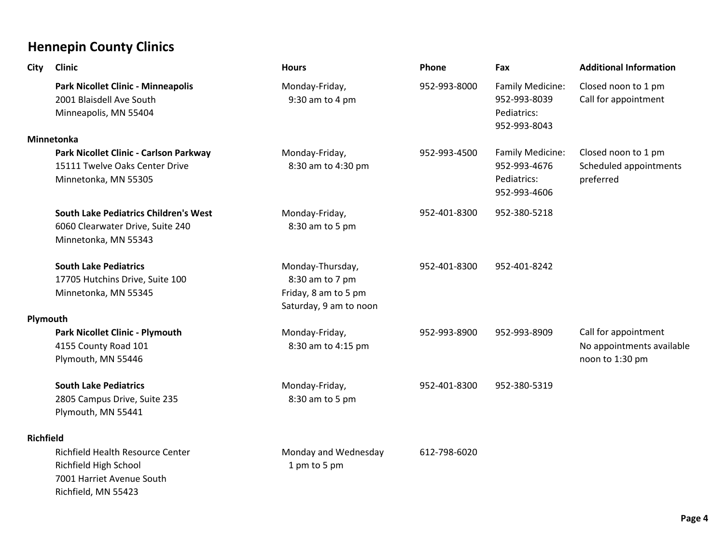| City             | <b>Clinic</b>                                                                                                        | <b>Hours</b>                                                                          | Phone        | Fax                                                             | <b>Additional Information</b>                                        |
|------------------|----------------------------------------------------------------------------------------------------------------------|---------------------------------------------------------------------------------------|--------------|-----------------------------------------------------------------|----------------------------------------------------------------------|
|                  | Park Nicollet Clinic - Minneapolis<br>2001 Blaisdell Ave South<br>Minneapolis, MN 55404                              | Monday-Friday,<br>9:30 am to 4 pm                                                     | 952-993-8000 | Family Medicine:<br>952-993-8039<br>Pediatrics:<br>952-993-8043 | Closed noon to 1 pm<br>Call for appointment                          |
|                  | Minnetonka                                                                                                           |                                                                                       |              |                                                                 |                                                                      |
|                  | Park Nicollet Clinic - Carlson Parkway                                                                               | Monday-Friday,                                                                        | 952-993-4500 | Family Medicine:                                                | Closed noon to 1 pm                                                  |
|                  | 15111 Twelve Oaks Center Drive<br>Minnetonka, MN 55305                                                               | 8:30 am to 4:30 pm                                                                    |              | 952-993-4676<br>Pediatrics:<br>952-993-4606                     | Scheduled appointments<br>preferred                                  |
|                  | <b>South Lake Pediatrics Children's West</b><br>6060 Clearwater Drive, Suite 240<br>Minnetonka, MN 55343             | Monday-Friday,<br>8:30 am to 5 pm                                                     | 952-401-8300 | 952-380-5218                                                    |                                                                      |
|                  | <b>South Lake Pediatrics</b><br>17705 Hutchins Drive, Suite 100<br>Minnetonka, MN 55345                              | Monday-Thursday,<br>8:30 am to 7 pm<br>Friday, 8 am to 5 pm<br>Saturday, 9 am to noon | 952-401-8300 | 952-401-8242                                                    |                                                                      |
| Plymouth         |                                                                                                                      |                                                                                       |              |                                                                 |                                                                      |
|                  | <b>Park Nicollet Clinic - Plymouth</b><br>4155 County Road 101<br>Plymouth, MN 55446                                 | Monday-Friday,<br>8:30 am to 4:15 pm                                                  | 952-993-8900 | 952-993-8909                                                    | Call for appointment<br>No appointments available<br>noon to 1:30 pm |
|                  | <b>South Lake Pediatrics</b><br>2805 Campus Drive, Suite 235<br>Plymouth, MN 55441                                   | Monday-Friday,<br>8:30 am to 5 pm                                                     | 952-401-8300 | 952-380-5319                                                    |                                                                      |
| <b>Richfield</b> |                                                                                                                      |                                                                                       |              |                                                                 |                                                                      |
|                  | <b>Richfield Health Resource Center</b><br>Richfield High School<br>7001 Harriet Avenue South<br>Richfield, MN 55423 | Monday and Wednesday<br>1 pm to 5 pm                                                  | 612-798-6020 |                                                                 |                                                                      |